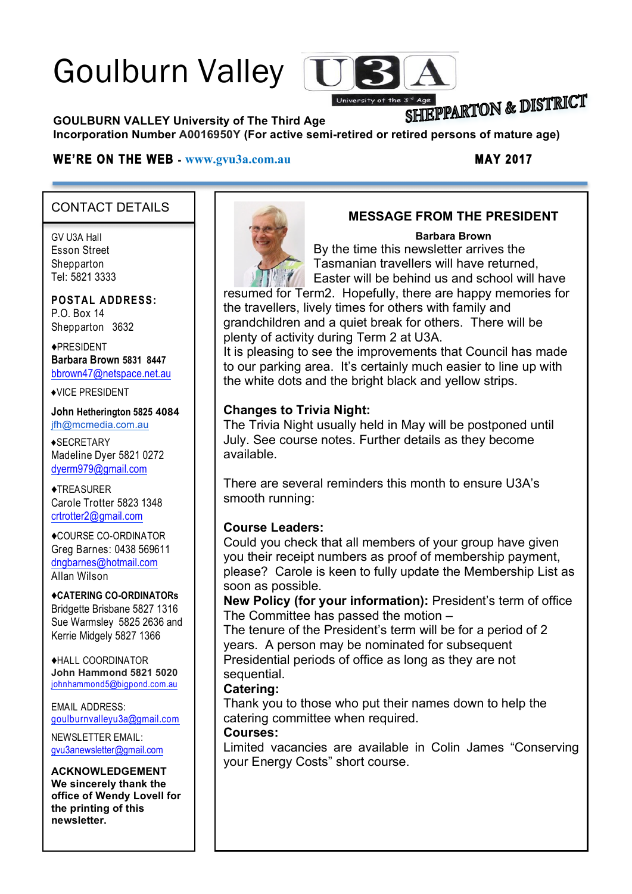# Goulburn Valley [U



## SHIEPPARTON & DISTRICT

**GOULBURN VALLEY University of The Third Age** 

**Incorporation Number A0016950Y (For active semi-retired or retired persons of mature age)**

#### **WE'RE ON THE WEB - www.gvu3a.com.au MAY 2017**

#### CONTACT DETAILS

GV U3A Hall Esson Street **Shepparton** Tel: 5821 3333

**POSTAL ADDRESS:** P.O. Box 14 Shepparton 3632

♦PRESIDENT **Barbara Brown 5831 8447** bbrown47@netspace.net.au

♦VICE PRESIDENT

**John Hetherington 5825 4084** jfh@mcmedia.com.au

♦SECRETARY Madeline Dyer 5821 0272 dyerm979@gmail.com

♦TREASURER Carole Trotter 5823 1348 crtrotter2@gmail.com

♦COURSE CO-ORDINATOR Greg Barnes: 0438 569611 dngbarnes@hotmail.com Allan Wilson

♦**CATERING CO-ORDINATORs** Bridgette Brisbane 5827 1316 Sue Warmsley 5825 2636 and Kerrie Midgely 5827 1366

♦HALL COORDINATOR **John Hammond 5821 5020** johnhammond5@bigpond.com.au

EMAIL ADDRESS: goulburnvalleyu3a@gmail.com

NEWSLETTER EMAIL: gvu3anewsletter@gmail.com

### **ACKNOWLEDGEMENT**

**We sincerely thank the office of Wendy Lovell for the printing of this newsletter.**



#### **MESSAGE FROM THE PRESIDENT**

#### **Barbara Brown**

By the time this newsletter arrives the Tasmanian travellers will have returned, Easter will be behind us and school will have

resumed for Term2. Hopefully, there are happy memories for the travellers, lively times for others with family and grandchildren and a quiet break for others. There will be plenty of activity during Term 2 at U3A.

It is pleasing to see the improvements that Council has made to our parking area. It's certainly much easier to line up with the white dots and the bright black and yellow strips.

#### **Changes to Trivia Night:**

The Trivia Night usually held in May will be postponed until July. See course notes. Further details as they become available.

There are several reminders this month to ensure U3A's smooth running:

#### **Course Leaders:**

Could you check that all members of your group have given you their receipt numbers as proof of membership payment, please? Carole is keen to fully update the Membership List as soon as possible.

**New Policy (for your information):** President's term of office The Committee has passed the motion –

The tenure of the President's term will be for a period of 2 years. A person may be nominated for subsequent Presidential periods of office as long as they are not sequential.

#### **Catering:**

Thank you to those who put their names down to help the catering committee when required.

#### **Courses:**

Limited vacancies are available in Colin James "Conserving your Energy Costs" short course.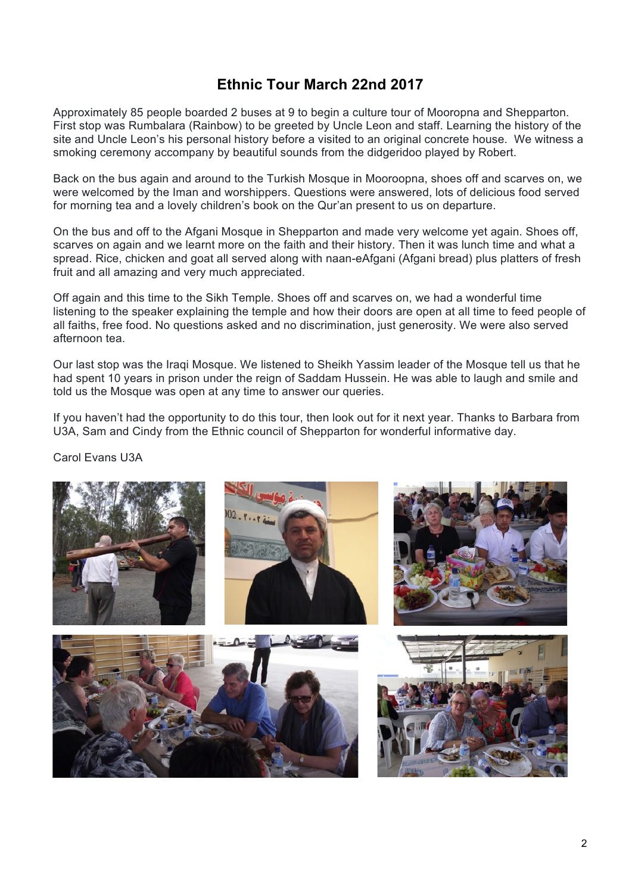#### **Ethnic Tour March 22nd 2017**

Approximately 85 people boarded 2 buses at 9 to begin a culture tour of Mooropna and Shepparton. First stop was Rumbalara (Rainbow) to be greeted by Uncle Leon and staff. Learning the history of the site and Uncle Leon's his personal history before a visited to an original concrete house. We witness a smoking ceremony accompany by beautiful sounds from the didgeridoo played by Robert.

Back on the bus again and around to the Turkish Mosque in Mooroopna, shoes off and scarves on, we were welcomed by the Iman and worshippers. Questions were answered, lots of delicious food served for morning tea and a lovely children's book on the Qur'an present to us on departure.

On the bus and off to the Afgani Mosque in Shepparton and made very welcome yet again. Shoes off, scarves on again and we learnt more on the faith and their history. Then it was lunch time and what a spread. Rice, chicken and goat all served along with naan-eAfgani (Afgani bread) plus platters of fresh fruit and all amazing and very much appreciated.

Off again and this time to the Sikh Temple. Shoes off and scarves on, we had a wonderful time listening to the speaker explaining the temple and how their doors are open at all time to feed people of all faiths, free food. No questions asked and no discrimination, just generosity. We were also served afternoon tea.

Our last stop was the Iraqi Mosque. We listened to Sheikh Yassim leader of the Mosque tell us that he had spent 10 years in prison under the reign of Saddam Hussein. He was able to laugh and smile and told us the Mosque was open at any time to answer our queries.

If you haven't had the opportunity to do this tour, then look out for it next year. Thanks to Barbara from U3A, Sam and Cindy from the Ethnic council of Shepparton for wonderful informative day.

#### Carol Evans U3A

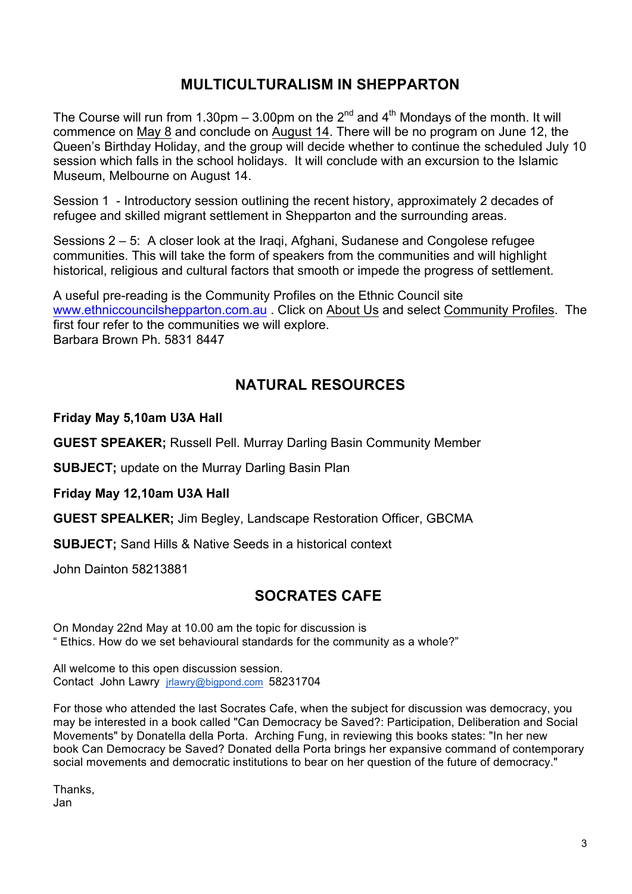#### **MULTICULTURALISM IN SHEPPARTON**

The Course will run from 1.30pm – 3.00pm on the  $2^{nd}$  and  $4^{th}$  Mondays of the month. It will commence on May 8 and conclude on August 14. There will be no program on June 12, the Queen's Birthday Holiday, and the group will decide whether to continue the scheduled July 10 session which falls in the school holidays. It will conclude with an excursion to the Islamic Museum, Melbourne on August 14.

Session 1 - Introductory session outlining the recent history, approximately 2 decades of refugee and skilled migrant settlement in Shepparton and the surrounding areas.

Sessions 2 – 5: A closer look at the Iraqi, Afghani, Sudanese and Congolese refugee communities. This will take the form of speakers from the communities and will highlight historical, religious and cultural factors that smooth or impede the progress of settlement.

A useful pre-reading is the Community Profiles on the Ethnic Council site www.ethniccouncilshepparton.com.au . Click on About Us and select Community Profiles. The first four refer to the communities we will explore. Barbara Brown Ph. 5831 8447

#### **NATURAL RESOURCES**

#### **Friday May 5,10am U3A Hall**

**GUEST SPEAKER;** Russell Pell. Murray Darling Basin Community Member

**SUBJECT;** update on the Murray Darling Basin Plan

**Friday May 12,10am U3A Hall**

**GUEST SPEALKER;** Jim Begley, Landscape Restoration Officer, GBCMA

**SUBJECT;** Sand Hills & Native Seeds in a historical context

John Dainton 58213881

#### **SOCRATES CAFE**

On Monday 22nd May at 10.00 am the topic for discussion is " Ethics. How do we set behavioural standards for the community as a whole?"

All welcome to this open discussion session. Contact John Lawry jrlawry@bigpond.com 58231704

For those who attended the last Socrates Cafe, when the subject for discussion was democracy, you may be interested in a book called "Can Democracy be Saved?: Participation, Deliberation and Social Movements" by Donatella della Porta. Arching Fung, in reviewing this books states: "In her new book Can Democracy be Saved? Donated della Porta brings her expansive command of contemporary social movements and democratic institutions to bear on her question of the future of democracy."

Thanks, Jan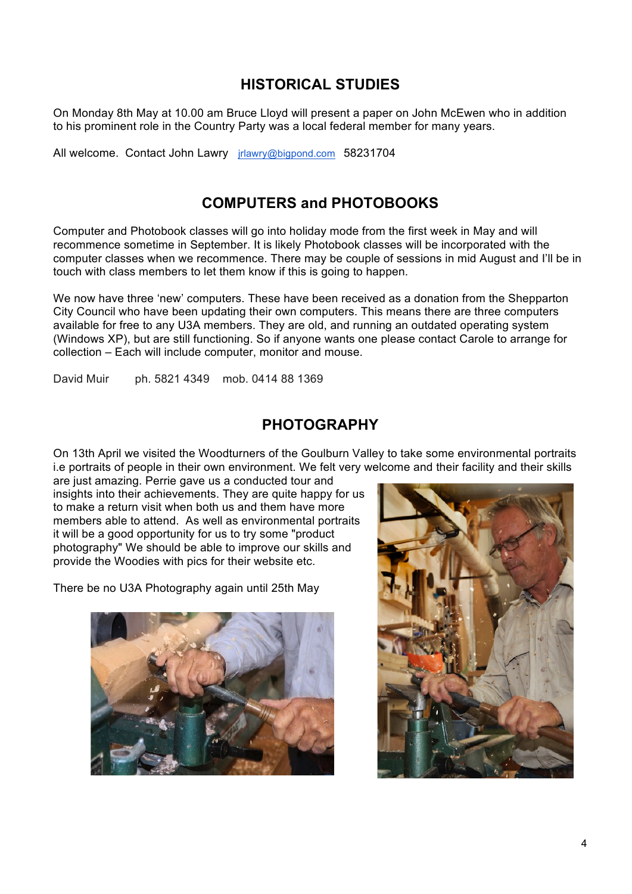#### **HISTORICAL STUDIES**

On Monday 8th May at 10.00 am Bruce Lloyd will present a paper on John McEwen who in addition to his prominent role in the Country Party was a local federal member for many years.

All welcome. Contact John Lawry *irlawry@bigpond.com* 58231704

#### **COMPUTERS and PHOTOBOOKS**

Computer and Photobook classes will go into holiday mode from the first week in May and will recommence sometime in September. It is likely Photobook classes will be incorporated with the computer classes when we recommence. There may be couple of sessions in mid August and I'll be in touch with class members to let them know if this is going to happen.

We now have three 'new' computers. These have been received as a donation from the Shepparton City Council who have been updating their own computers. This means there are three computers available for free to any U3A members. They are old, and running an outdated operating system (Windows XP), but are still functioning. So if anyone wants one please contact Carole to arrange for collection – Each will include computer, monitor and mouse.

David Muir ph. 5821 4349 mob. 0414 88 1369

#### **PHOTOGRAPHY**

On 13th April we visited the Woodturners of the Goulburn Valley to take some environmental portraits i.e portraits of people in their own environment. We felt very welcome and their facility and their skills

are just amazing. Perrie gave us a conducted tour and insights into their achievements. They are quite happy for us to make a return visit when both us and them have more members able to attend. As well as environmental portraits it will be a good opportunity for us to try some "product photography" We should be able to improve our skills and provide the Woodies with pics for their website etc.

There be no U3A Photography again until 25th May



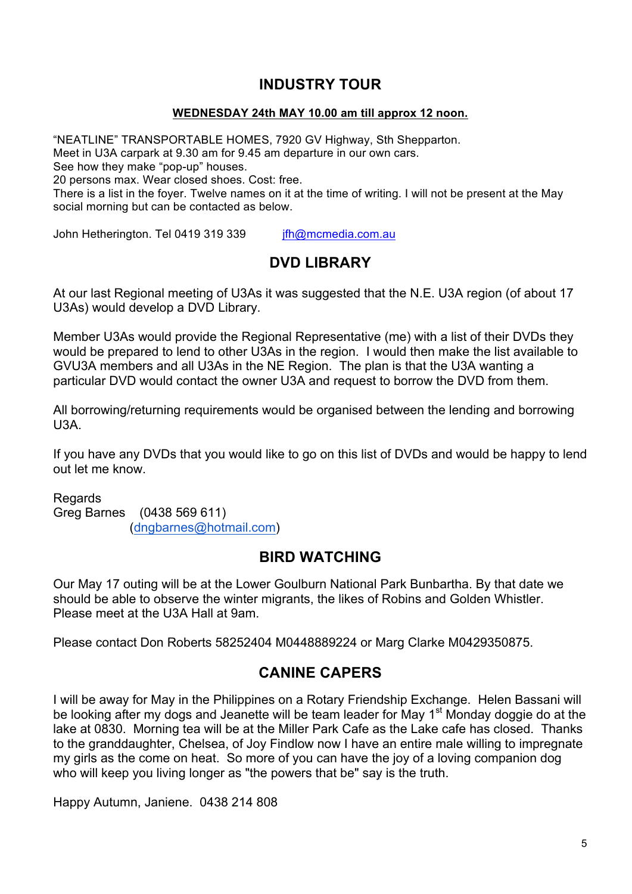#### **INDUSTRY TOUR**

#### **WEDNESDAY 24th MAY 10.00 am till approx 12 noon.**

"NEATLINE" TRANSPORTABLE HOMES, 7920 GV Highway, Sth Shepparton. Meet in U3A carpark at 9.30 am for 9.45 am departure in our own cars. See how they make "pop-up" houses. 20 persons max. Wear closed shoes. Cost: free. There is a list in the foyer. Twelve names on it at the time of writing. I will not be present at the May social morning but can be contacted as below.

John Hetherington. Tel 0419 319 339 ifh@mcmedia.com.au

### **DVD LIBRARY**

At our last Regional meeting of U3As it was suggested that the N.E. U3A region (of about 17 U3As) would develop a DVD Library.

Member U3As would provide the Regional Representative (me) with a list of their DVDs they would be prepared to lend to other U3As in the region. I would then make the list available to GVU3A members and all U3As in the NE Region. The plan is that the U3A wanting a particular DVD would contact the owner U3A and request to borrow the DVD from them.

All borrowing/returning requirements would be organised between the lending and borrowing U3A.

If you have any DVDs that you would like to go on this list of DVDs and would be happy to lend out let me know.

**Regards** Greg Barnes (0438 569 611) (dngbarnes@hotmail.com)

#### **BIRD WATCHING**

Our May 17 outing will be at the Lower Goulburn National Park Bunbartha. By that date we should be able to observe the winter migrants, the likes of Robins and Golden Whistler. Please meet at the U3A Hall at 9am.

Please contact Don Roberts 58252404 M0448889224 or Marg Clarke M0429350875.

#### **CANINE CAPERS**

I will be away for May in the Philippines on a Rotary Friendship Exchange. Helen Bassani will be looking after my dogs and Jeanette will be team leader for May 1<sup>st</sup> Monday doggie do at the lake at 0830. Morning tea will be at the Miller Park Cafe as the Lake cafe has closed. Thanks to the granddaughter, Chelsea, of Joy Findlow now I have an entire male willing to impregnate my girls as the come on heat. So more of you can have the joy of a loving companion dog who will keep you living longer as "the powers that be" say is the truth.

Happy Autumn, Janiene. 0438 214 808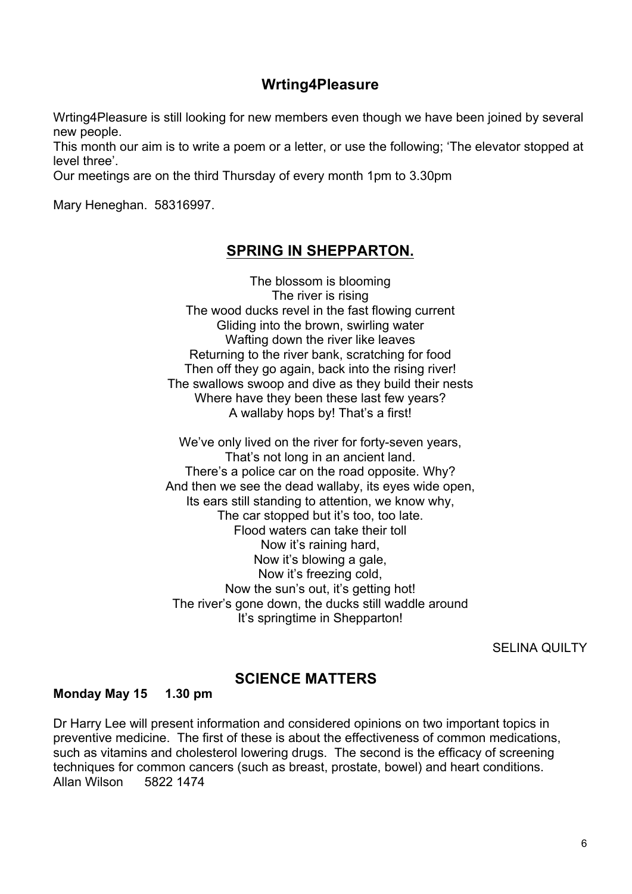#### **Wrting4Pleasure**

Wrting4Pleasure is still looking for new members even though we have been joined by several new people.

This month our aim is to write a poem or a letter, or use the following; 'The elevator stopped at level three'.

Our meetings are on the third Thursday of every month 1pm to 3.30pm

Mary Heneghan. 58316997.

#### **SPRING IN SHEPPARTON.**

The blossom is blooming The river is rising The wood ducks revel in the fast flowing current Gliding into the brown, swirling water Wafting down the river like leaves Returning to the river bank, scratching for food Then off they go again, back into the rising river! The swallows swoop and dive as they build their nests Where have they been these last few years? A wallaby hops by! That's a first!

We've only lived on the river for forty-seven years, That's not long in an ancient land. There's a police car on the road opposite. Why? And then we see the dead wallaby, its eyes wide open, Its ears still standing to attention, we know why, The car stopped but it's too, too late. Flood waters can take their toll Now it's raining hard, Now it's blowing a gale, Now it's freezing cold, Now the sun's out, it's getting hot! The river's gone down, the ducks still waddle around It's springtime in Shepparton!

SELINA QUILTY

## **SCIENCE MATTERS Monday May 15 1.30 pm**

Dr Harry Lee will present information and considered opinions on two important topics in preventive medicine. The first of these is about the effectiveness of common medications, such as vitamins and cholesterol lowering drugs. The second is the efficacy of screening techniques for common cancers (such as breast, prostate, bowel) and heart conditions. Allan Wilson 5822 1474